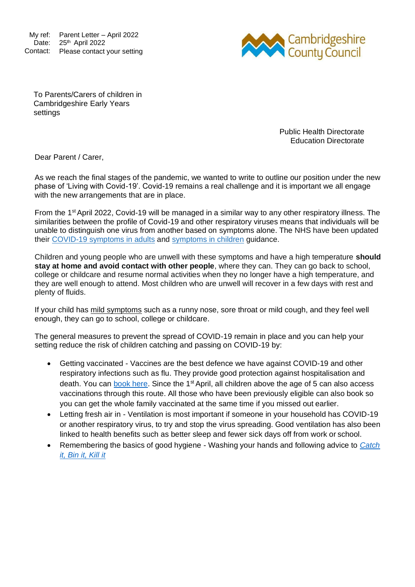My ref: Parent Letter – April 2022 Date: 25<sup>th</sup> April 2022 Contact: Please contact your setting



To Parents/Carers of children in Cambridgeshire Early Years settings

> Public Health Directorate Education Directorate

Dear Parent / Carer,

As we reach the final stages of the pandemic, we wanted to write to outline our position under the new phase of 'Living with Covid-19'. Covid-19 remains a real challenge and it is important we all engage with the new arrangements that are in place.

From the 1<sup>st</sup> April 2022, Covid-19 will be managed in a similar way to any other respiratory illness. The similarities between the profile of Covid-19 and other respiratory viruses means that individuals will be unable to distinguish one virus from another based on symptoms alone. The NHS have been updated their [COVID-19 symptoms in adults](https://www.nhs.uk/conditions/coronavirus-covid-19/symptoms/main-symptoms/?utm_source=07%20April%202022%20C19&utm_medium=Daily%20Email%20C19&utm_campaign=DfE%20C19) and [symptoms in children](https://www.nhs.uk/conditions/coronavirus-covid-19/symptoms/coronavirus-in-children/?utm_source=07%20April%202022%20C19&utm_medium=Daily%20Email%20C19&utm_campaign=DfE%20C19) guidance.

Children and young people who are unwell with these symptoms and have a high temperature **should stay at home and avoid contact with other people**, where they can. They can go back to school, college or childcare and resume normal activities when they no longer have a high temperature, and they are well enough to attend. Most children who are unwell will recover in a few days with rest and plenty of fluids.

If your child has mild symptoms such as a runny nose, sore throat or mild cough, and they feel well enough, they can go to school, college or childcare.

The general measures to prevent the spread of COVID-19 remain in place and you can help your setting reduce the risk of children catching and passing on COVID-19 by:

- Getting vaccinated Vaccines are the best defence we have against COVID-19 and other respiratory infections such as flu. They provide good protection against hospitalisation and death. You can [book here.](https://www.nhs.uk/conditions/coronavirus-covid-19/coronavirus-vaccination/book-coronavirus-vaccination/) Since the 1<sup>st</sup> April, all children above the age of 5 can also access vaccinations through this route. All those who have been previously eligible can also book so you can get the whole family vaccinated at the same time if you missed out earlier.
- Letting fresh air in Ventilation is most important if someone in your household has COVID-19 or another respiratory virus, to try and stop the virus spreading. Good ventilation has also been linked to health benefits such as better sleep and fewer sick days off from work or school.
- Remembering the basics of good hygiene Washing your hands and following advice to *[Catch](https://www.england.nhs.uk/south/wp-content/uploads/sites/6/2017/09/catch-bin-kill.pdf) [it, Bin it, Kill](https://www.england.nhs.uk/south/wp-content/uploads/sites/6/2017/09/catch-bin-kill.pdf) it*